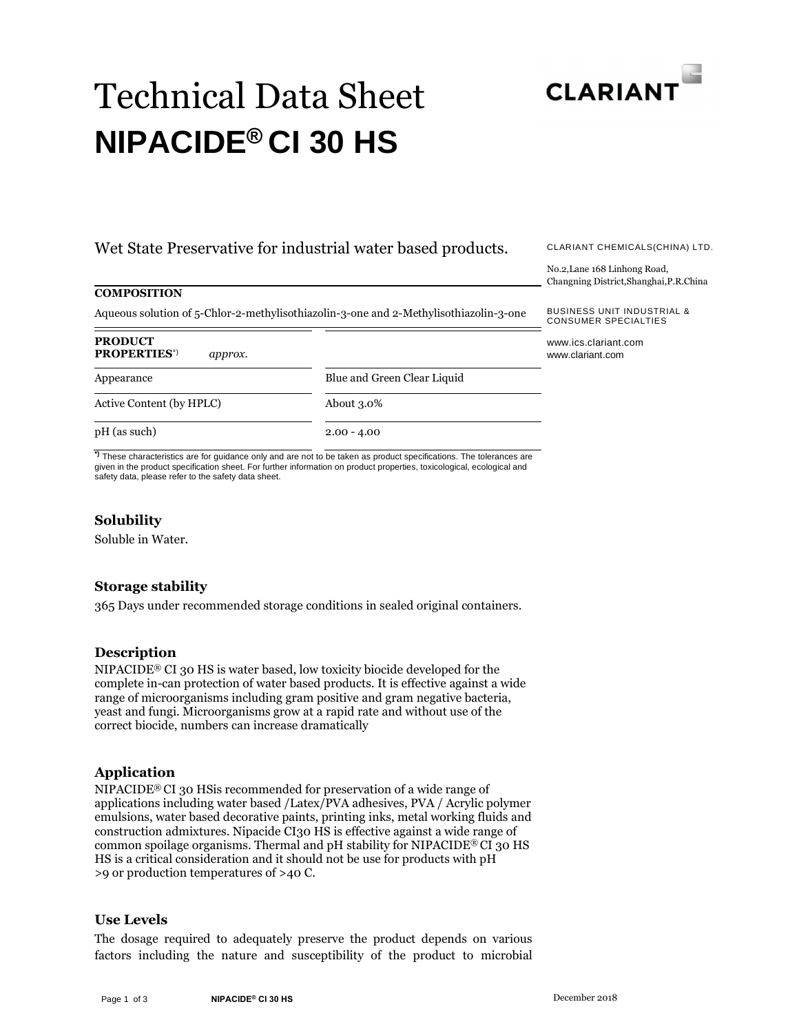

# Technical Data Sheet **NIPACIDE® CI 30 HS**

# Wet State Preservative for industrial water based products.

#### **COMPOSITION**

Aqueous solution of 5-Chlor-2-methylisothiazolin-3-one and 2-Methylisothiazolin-3-one

| <b>PRODUCT</b><br><b>PROPERTIES</b> <sup>*)</sup><br>approx. |                             | www.ics.<br>www.clar |
|--------------------------------------------------------------|-----------------------------|----------------------|
| Appearance                                                   | Blue and Green Clear Liquid |                      |
| Active Content (by HPLC)                                     | About $3.0\%$               |                      |
| pH (as such)                                                 | $2.00 - 4.00$               |                      |
|                                                              |                             |                      |

**\*)** These characteristics are for guidance only and are not to be taken as product specifications. The tolerances are given in the product specification sheet. For further information on product properties, toxicological, ecological and safety data, please refer to the safety data sheet.

#### **Solubility**

Soluble in Water.

#### **Storage stability**

365 Days under recommended storage conditions in sealed original containers.

#### **Description**

NIPACIDE® CI 30 HS is water based, low toxicity biocide developed for the complete in-can protection of water based products. It is effective against a wide range of microorganisms including gram positive and gram negative bacteria, yeast and fungi. Microorganisms grow at a rapid rate and without use of the correct biocide, numbers can increase dramatically

#### **Application**

NIPACIDE® CI 30 HSis recommended for preservation of a wide range of applications including water based /Latex/PVA adhesives, PVA / Acrylic polymer emulsions, water based decorative paints, printing inks, metal working fluids and construction admixtures. Nipacide CI30 HS is effective against a wide range of common spoilage organisms. Thermal and pH stability for NIPACIDE® CI 30 HS HS is a critical consideration and it should not be use for products with pH >9 or production temperatures of >40 C.

#### **Use Levels**

The dosage required to adequately preserve the product depends on various factors including the nature and susceptibility of the product to microbial

CLARIANT CHEMICALS(CHINA) LTD.

No.2,Lane 168 Linhong Road, Changning District,Shanghai,P.R.China

BUSINESS UNIT INDUSTRIAL & CONSUMER SPECIALTIES

.clariant.com iant.com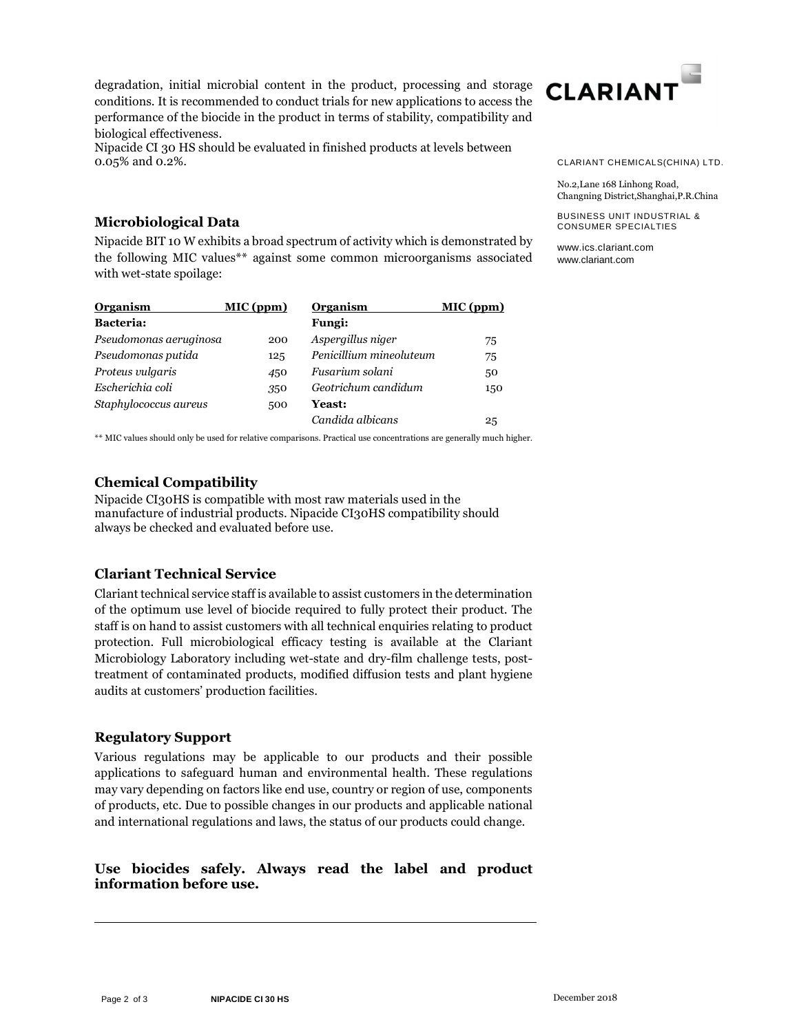degradation, initial microbial content in the product, processing and storage conditions. It is recommended to conduct trials for new applications to access the performance of the biocide in the product in terms of stability, compatibility and biological effectiveness.

Nipacide CI 30 HS should be evaluated in finished products at levels between 0.05% and 0.2%.



#### CLARIANT CHEMICALS(CHINA) LTD.

No.2,Lane 168 Linhong Road, Changning District,Shanghai,P.R.China

BUSINESS UNIT INDUSTRIAL & CONSUMER SPECIALTIES

www.ics.clariant.com www.clariant.com

# **Microbiological Data**

Nipacide BIT 10 W exhibits a broad spectrum of activity which is demonstrated by the following MIC values\*\* against some common microorganisms associated with wet-state spoilage:

| Organism               | MIC (ppm) | Organism                | MIC (ppm) |
|------------------------|-----------|-------------------------|-----------|
| <b>Bacteria:</b>       |           | <b>Fungi:</b>           |           |
| Pseudomonas aeruginosa | 200       | Aspergillus niger       | 75        |
| Pseudomonas putida     | 125       | Penicillium mineoluteum | 75        |
| Proteus vulgaris       | 450       | Fusarium solani         | 50        |
| Escherichia coli       | 350       | Geotrichum candidum     | 150       |
| Staphylococcus aureus  | 500       | <b>Yeast:</b>           |           |
|                        |           | Candida albicans        | 25        |

\*\* MIC values should only be used for relative comparisons. Practical use concentrations are generally much higher.

## **Chemical Compatibility**

Nipacide CI30HS is compatible with most raw materials used in the manufacture of industrial products. Nipacide CI30HS compatibility should always be checked and evaluated before use.

# **Clariant Technical Service**

Clariant technical service staff is available to assist customers in the determination of the optimum use level of biocide required to fully protect their product. The staff is on hand to assist customers with all technical enquiries relating to product protection. Full microbiological efficacy testing is available at the Clariant Microbiology Laboratory including wet-state and dry-film challenge tests, posttreatment of contaminated products, modified diffusion tests and plant hygiene audits at customers' production facilities.

## **Regulatory Support**

Various regulations may be applicable to our products and their possible applications to safeguard human and environmental health. These regulations may vary depending on factors like end use, country or region of use, components of products, etc. Due to possible changes in our products and applicable national and international regulations and laws, the status of our products could change.

## **Use biocides safely. Always read the label and product information before use.**